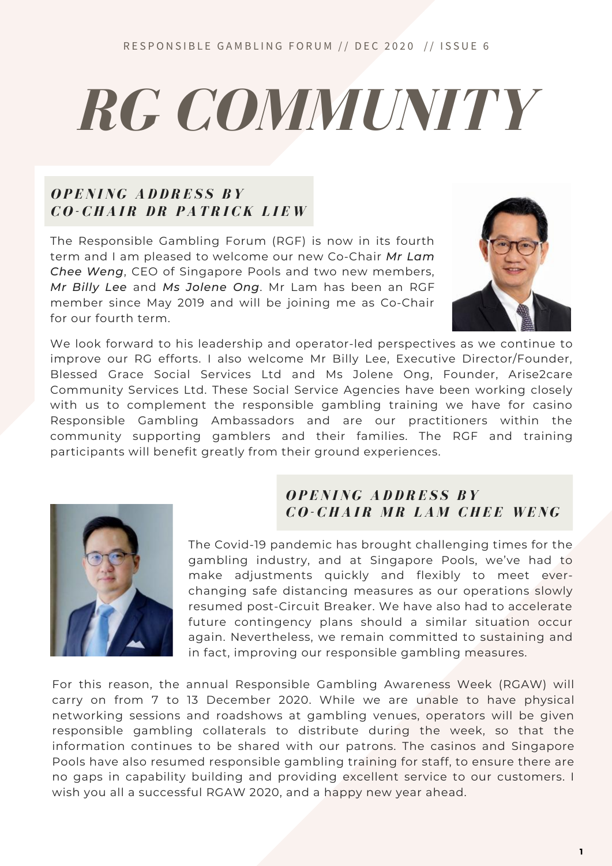## *RG COMMUNITY*

### *O P E N I N G A D D R E S S B Y C O - C H A I R D R P A T R I C K L I E W*

The Responsible Gambling Forum (RGF) is now in its fourth term and I am pleased to welcome our new Co-Chair *Mr Lam Chee Weng*, CEO of Singapore Pools and two new members, *Mr Billy Lee* and *Ms Jolene Ong*. Mr Lam has been an RGF member since May 2019 and will be joining me as Co-Chair for our fourth term.



We look forward to his leadership and operator-led perspectives as we continue to improve our RG efforts. I also welcome Mr Billy Lee, Executive Director/Founder, Blessed Grace Social Services Ltd and Ms Jolene Ong, Founder, Arise2care Community Services Ltd. These Social Service Agencies have been working closely with us to complement the responsible gambling training we have for casino Responsible Gambling Ambassadors and are our practitioners within the community supporting gamblers and their families. The RGF and training participants will benefit greatly from their ground experiences.



### *O P E N I N G A D D R E S S B Y*   $CO$ - **CHAIR MR LAM CHEE WENG**

The Covid-19 pandemic has brought challenging times for the gambling industry, and at Singapore Pools, we've had to make adjustments quickly and flexibly to meet everchanging safe distancing measures as our operations slowly resumed post-Circuit Breaker. We have also had to accelerate future contingency plans should a similar situation occur again. Nevertheless, we remain committed to sustaining and in fact, improving our responsible gambling measures.

For this reason, the annual Responsible Gambling Awareness Week (RGAW) will carry on from 7 to 13 December 2020. While we are unable to have physical networking sessions and roadshows at gambling venues, operators will be given responsible gambling collaterals to distribute during the week, so that the information continues to be shared with our patrons. The casinos and Singapore Pools have also resumed responsible gambling training for staff, to ensure there are no gaps in capability building and providing excellent service to our customers. I wish you all a successful RGAW 2020, and a happy new year ahead.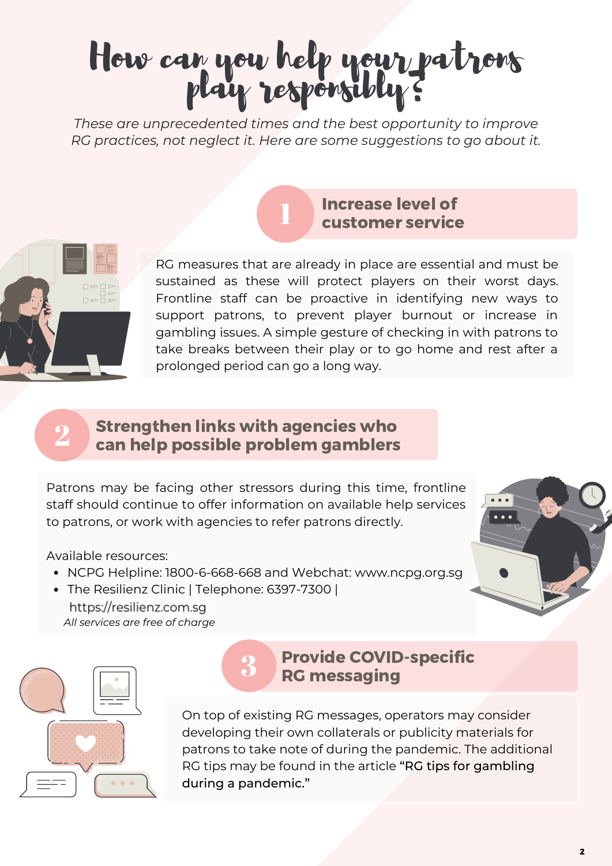### How can you help your patrons play responsibly?

*These are unprecedented times and the best opportunity to improve RG practices, not neglect it. Here are some suggestions to go about it.*

1



RG measures that are already in place are essential and must be sustained as these will protect players on their worst days. Frontline staff can be proactive in identifying new ways to support patrons, to prevent player burnout or increase in gambling issues. A simple gesture of checking in with patrons to take breaks between their play or to go home and rest after a prolonged period can go a long way.

Increase level of customer service

#### 2 Strengthen links with agencies who can help possible problem gamblers

Patrons may be facing other stressors during this time, frontline staff should continue to offer information on available help services to patrons, or work with agencies to refer patrons directly.

### Available resources:

- NCPG Helpline: 1800-6-668-668 and Webchat: www.ncpg.org.sg
- The Resilienz Clinic | Telephone: 6397-7300 | https://resilienz.com.sg *All services are free of charge*





### Provide COVID-specific RG messaging

On top of existing RG messages, operators may consider developing their own collaterals or publicity materials for patrons to take note of during the pandemic. The additional RG tips may be found in the article "RG tips for gambling during a pandemic."

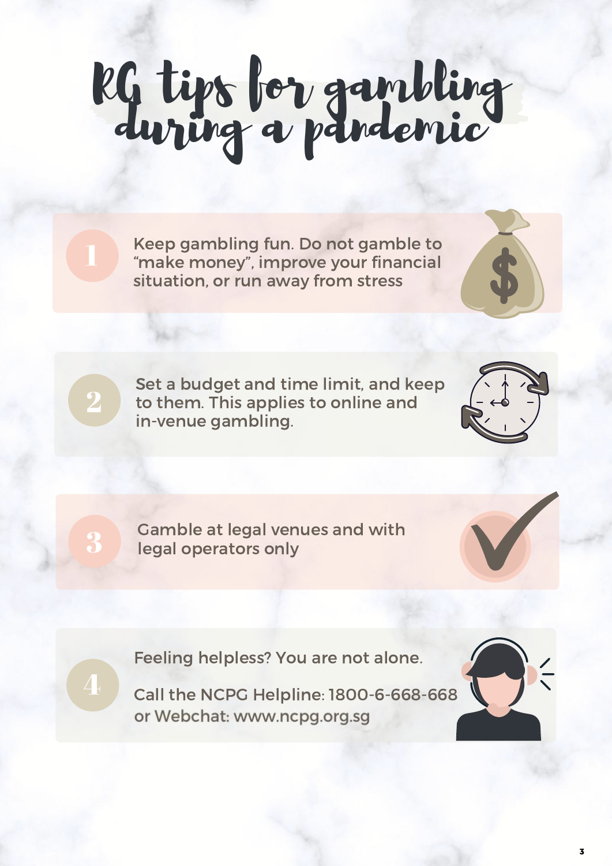# RG tips for gambling

Keep gambling fun. Do not gamble to "make money", improve your financial situation, or run away from stress

Set a budget and time limit, and keep to them. This applies to online and in-venue gambling.



Gamble at legal venues and with<br>
legal operators only



Feeling helpless? You are not alone.

4

2

Call the NCPG Helpline: 1800-6-668-668 or Webchat: www.ncpg.org.sg

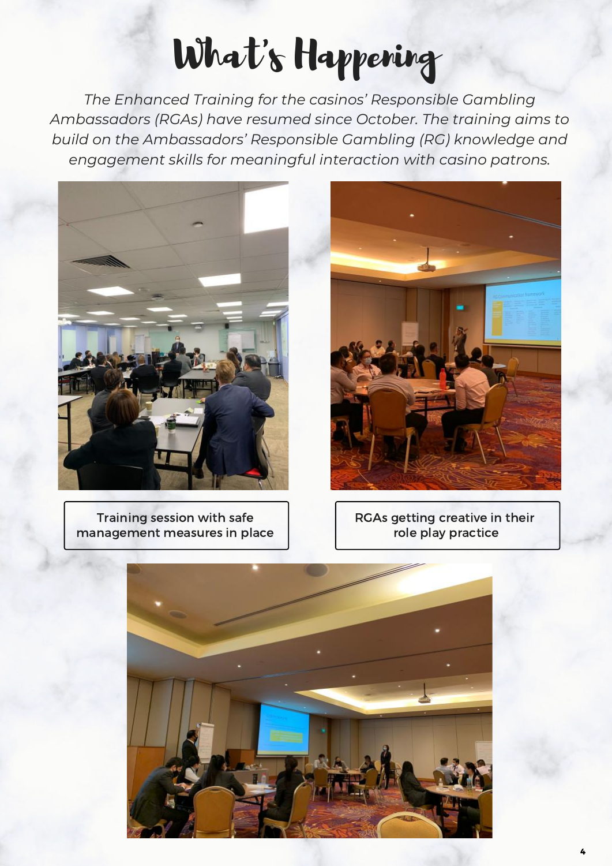## What's Happening

*The Enhanced Training for the casinos' Responsible Gambling Ambassadors (RGAs) have resumed since October. The training aims to build on the Ambassadors' Responsible Gambling (RG) knowledge and engagement skills for meaningful interaction with casino patrons.*



Training session with safe management measures in place



RGAs getting creative in their role play practice

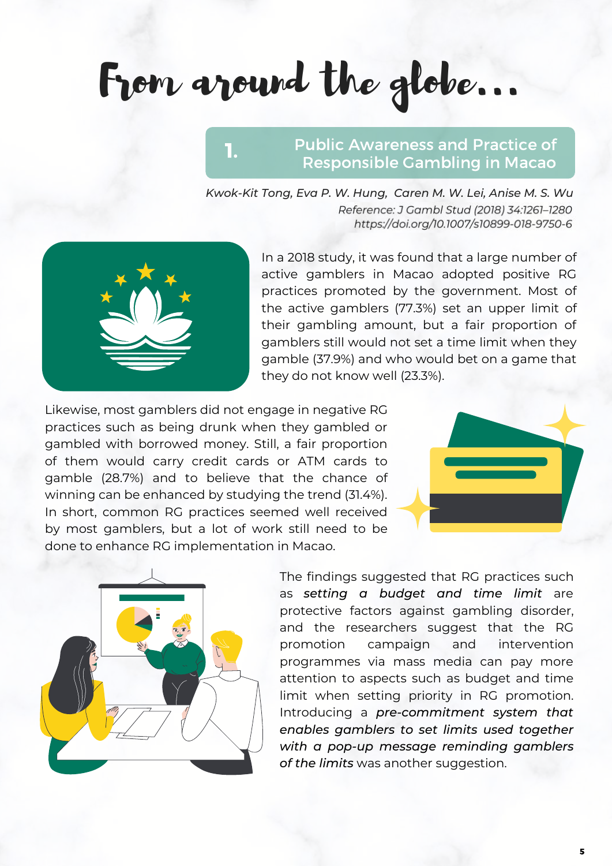From around the globe...

### Public Awareness and Practice of Responsible Gambling in Macao

*Kwok-Kit Tong, Eva P. W. Hung, Caren M. W. Lei, Anise M. S. Wu* Reference: J Gambl Stud (2018) 34:1261-1280 https://doi.org/10.1007/s10899-018-9750-6



In a 2018 study, it was found that a large number of active gamblers in Macao adopted positive RG practices promoted by the government. Most of the active gamblers (77.3%) set an upper limit of their gambling amount, but a fair proportion of gamblers still would not set a time limit when they gamble (37.9%) and who would bet on a game that they do not know well (23.3%).

Likewise, most gamblers did not engage in negative RG practices such as being drunk when they gambled or gambled with borrowed money. Still, a fair proportion of them would carry credit cards or ATM cards to gamble (28.7%) and to believe that the chance of winning can be enhanced by studying the trend (31.4%). In short, common RG practices seemed well received by most gamblers, but a lot of work still need to be done to enhance RG implementation in Macao.

1.





The findings suggested that RG practices such as *setting a budget and time limit* are protective factors against gambling disorder, and the researchers suggest that the RG promotion campaign and intervention programmes via mass media can pay more attention to aspects such as budget and time limit when setting priority in RG promotion. Introducing a *pre-commitment system that enables gamblers to set limits used together with a pop-up message reminding gamblers of the limits* was another suggestion.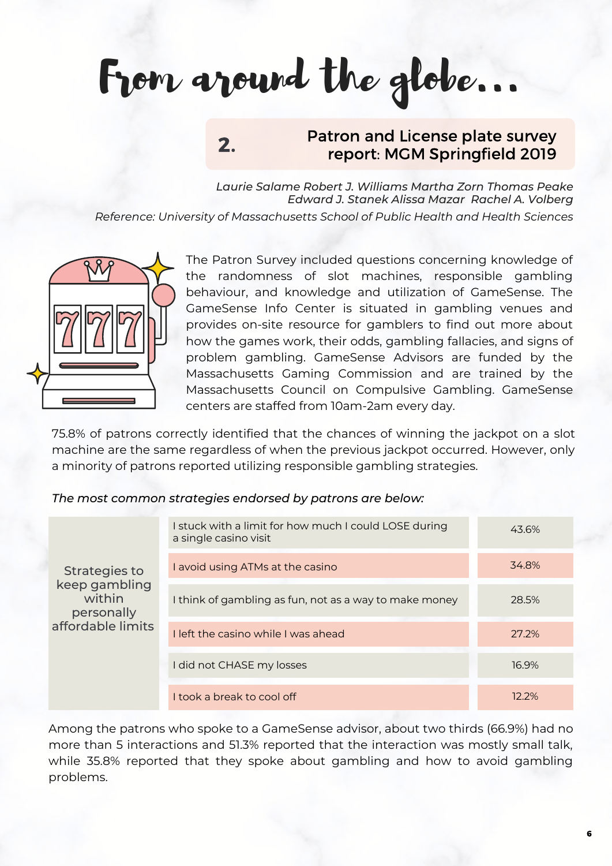## From around the globe...

2.

### Patron and License plate survey report: MGM Springfield 2019

*Laurie Salame Robert J. Williams Martha Zorn Thomas Peake Edward J. Stanek Alissa Mazar Rachel A. Volberg Reference: University of Massachusetts School of Public Health and Health Sciences*



The Patron Survey included questions concerning knowledge of the randomness of slot machines, responsible gambling behaviour, and knowledge and utilization of GameSense. The GameSense Info Center is situated in gambling venues and provides on-site resource for gamblers to find out more about how the games work, their odds, gambling fallacies, and signs of problem gambling. GameSense Advisors are funded by the Massachusetts Gaming Commission and are trained by the Massachusetts Council on Compulsive Gambling. GameSense centers are staffed from 10am-2am every day.

75.8% of patrons correctly identified that the chances of winning the jackpot on a slot machine are the same regardless of when the previous jackpot occurred. However, only a minority of patrons reported utilizing responsible gambling strategies.

### *The most common strategies endorsed by patrons are below:*

| Strategies to<br>keep gambling<br>within<br>personally<br>affordable limits | I stuck with a limit for how much I could LOSE during<br>a single casino visit | 43.6%    |
|-----------------------------------------------------------------------------|--------------------------------------------------------------------------------|----------|
|                                                                             | I avoid using ATMs at the casino                                               | 34.8%    |
|                                                                             | I think of gambling as fun, not as a way to make money                         | 28.5%    |
|                                                                             | I left the casino while I was ahead                                            | 27.2%    |
|                                                                             | I did not CHASE my losses                                                      | 16.9%    |
|                                                                             | I took a break to cool off                                                     | $12.2\%$ |

Among the patrons who spoke to a GameSense advisor, about two thirds (66.9%) had no more than 5 interactions and 51.3% reported that the interaction was mostly small talk, while 35.8% reported that they spoke about gambling and how to avoid gambling problems.